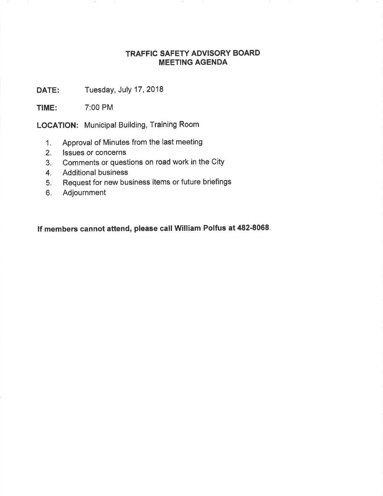## TRAFFIC SAFETY ADVISORY BOARD MEETING AGENDA

DATE: Tuesday, July 17, 2018

TIME: 7:00 PM

LOCATION: Municipal Building, Training Room

- 1. Approval of Minutes from the last meeting
- 2. lssues or concerns
- 3. Comments or questions on road work in the City
- 4. Additional business
- 5. Request for new business items or future briefings
- 6. Adjournment

lf members cannot attend, please call William Polfus at 482-8068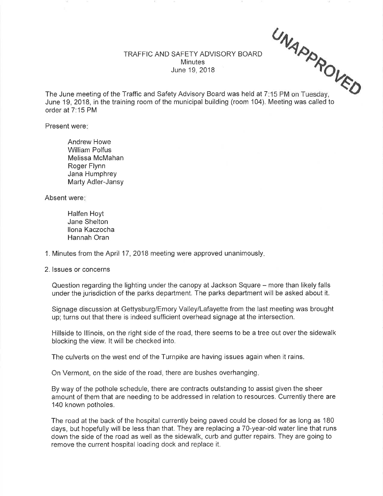TRAFFIC AND SAFETY ADVISORY BOARD **Minutes** June 19,2018

 $U_{\Lambda}$ 

The June meeting of the Traffic and Safety Advisory Board was held at 7:15 PM on Tuesday. June 19, 2018, in the training room of the municipal building (room 104). Meeting was called to order at 7:15 PM :15 PM on Tuesday,  $\epsilon$ 

Present were

Andrew Howe William Polfus Melissa McMahan Roger Flynn Jana Humphrey Marty Adler-Jansy

Absent were

Halfen Hoyt Jane Shelton llona Kaczocha Hannah Oran

1. Minutes from the April 17 ,2018 meeting were approved unanimously

2. lssues or concerns

Question regarding the lighting under the canopy at Jackson Square – more than likely falls under the jurisdiction of the parks depaftment, The parks department will be asked about it.

Signage discussion at Gettysburg/Emory Valley/Lafayette from the last meeting was brought up; turns out that there is indeed sufficient overhead signage at the intersection.

Hillside to lllinois, on the right side of the road, there seems to be a tree out over the sidewalk blocking the view. lt will be checked into.

The culverts on the west end of the Turnpike are having issues again when it rains.

On Vermont, on the side of the road, there are bushes overhanging

By way of the pothole schedule, there are contracts outstanding to assist given the sheer amount of them that are needing to be addressed in relation to resources. Currently there are 140 known potholes.

The road at the back of the hospital currently being paved could be closed for as long as 180 days, but hopefully will be less than that. They are replacing a 70-year-old water line that runs down the side of the road as well as the sidewalk, curb and gutter repairs. They are going to remove the current hospital loading dock and replace it.